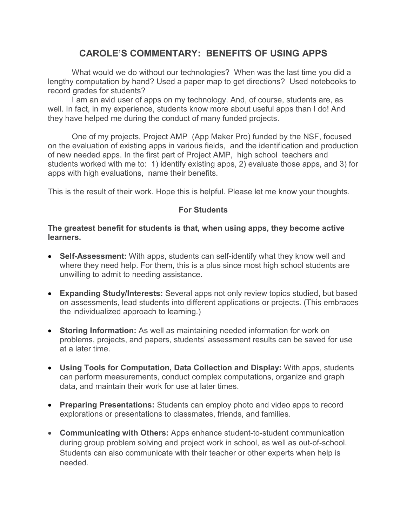# **CAROLE'S COMMENTARY: BENEFITS OF USING APPS**

What would we do without our technologies? When was the last time you did a lengthy computation by hand? Used a paper map to get directions? Used notebooks to record grades for students?

I am an avid user of apps on my technology. And, of course, students are, as well. In fact, in my experience, students know more about useful apps than I do! And they have helped me during the conduct of many funded projects.

One of my projects, Project AMP (App Maker Pro) funded by the NSF, focused on the evaluation of existing apps in various fields, and the identification and production of new needed apps. In the first part of Project AMP, high school teachers and students worked with me to: 1) identify existing apps, 2) evaluate those apps, and 3) for apps with high evaluations, name their benefits.

This is the result of their work. Hope this is helpful. Please let me know your thoughts.

## **For Students**

#### **The greatest benefit for students is that, when using apps, they become active learners.**

- **Self-Assessment:** With apps, students can self-identify what they know well and where they need help. For them, this is a plus since most high school students are unwilling to admit to needing assistance.
- **Expanding Study/Interests:** Several apps not only review topics studied, but based on assessments, lead students into different applications or projects. (This embraces the individualized approach to learning.)
- **Storing Information:** As well as maintaining needed information for work on problems, projects, and papers, students' assessment results can be saved for use at a later time.
- **Using Tools for Computation, Data Collection and Display:** With apps, students can perform measurements, conduct complex computations, organize and graph data, and maintain their work for use at later times.
- **Preparing Presentations:** Students can employ photo and video apps to record explorations or presentations to classmates, friends, and families.
- **Communicating with Others:** Apps enhance student-to-student communication during group problem solving and project work in school, as well as out-of-school. Students can also communicate with their teacher or other experts when help is needed.